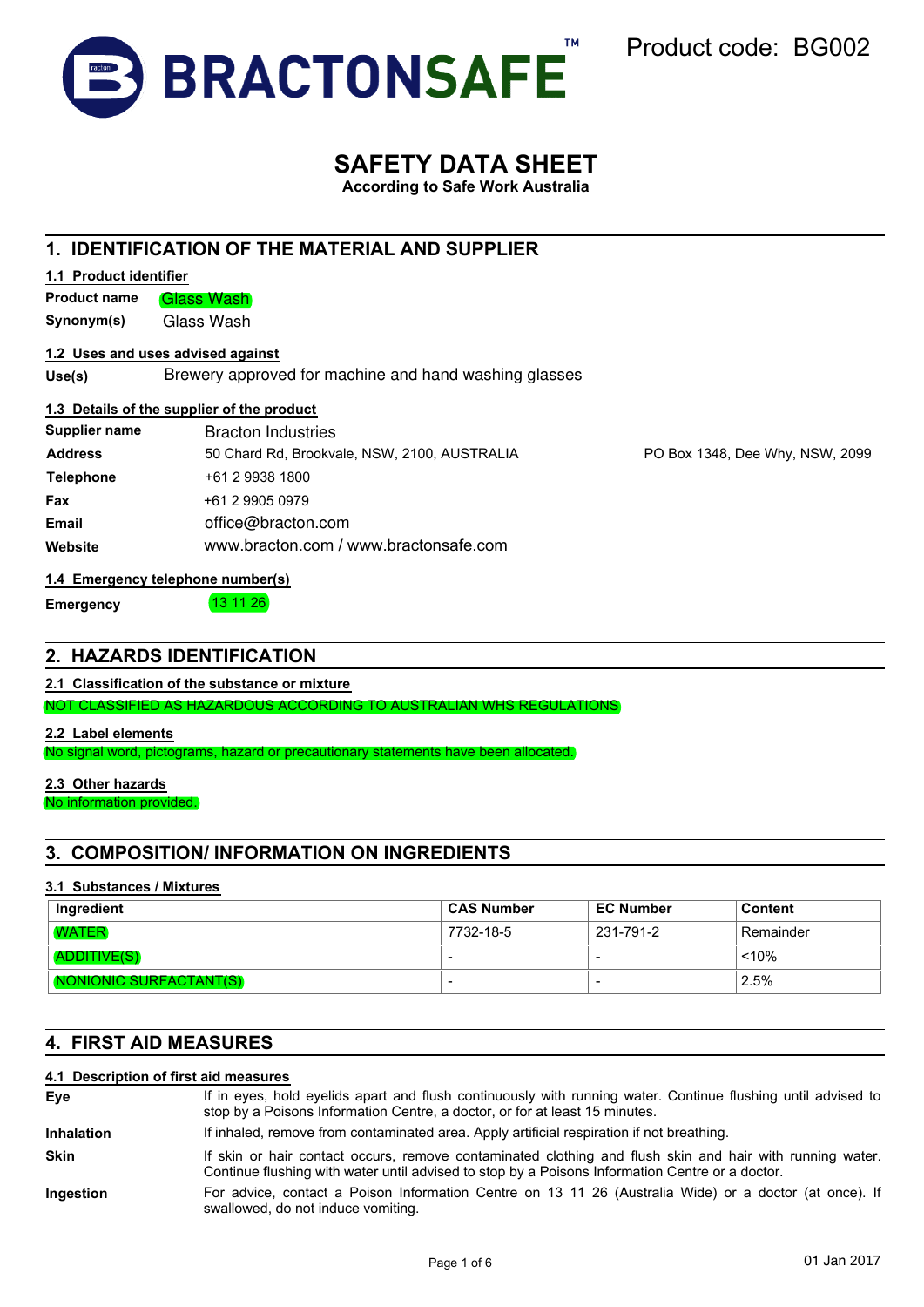

Product code: BG002

# **SAFETY DATA SHEET**

**According to Safe Work Australia**

## **1. IDENTIFICATION OF THE MATERIAL AND SUPPLIER**

|--|

**Product name** Glass Wash

**Synonym(s)** Glass Wash

### **1.2 Uses and uses advised against**

**Use(s)** Brewery approved for machine and hand washing glasses

### **1.3 Details of the supplier of the product**

| <b>Supplier name</b> | <b>Bracton Industries</b>                    |
|----------------------|----------------------------------------------|
| <b>Address</b>       | 50 Chard Rd, Brookvale, NSW, 2100, AUSTRALIA |
| <b>Telephone</b>     | +61 2 9938 1800                              |
| Fax                  | +61 2 9905 0979                              |
| Email                | office@bracton.com                           |
| Website              | www.bracton.com / www.bractonsafe.com        |

PO Box 1348, Dee Why, NSW, 2099

### **1.4 Emergency telephone number(s)**

**Emergency 13 11 26** 

### **2. HAZARDS IDENTIFICATION**

**2.1 Classification of the substance or mixture**

NOT CLASSIFIED AS HAZARDOUS ACCORDING TO AUSTRALIAN WHS REGULATIONS

**2.2 Label elements**

No signal word, pictograms, hazard or precautionary statements have been allocated.

### **2.3 Other hazards**

No information provided.

## **3. COMPOSITION/ INFORMATION ON INGREDIENTS**

### **3.1 Substances / Mixtures**

| Ingredient             | ⊩CAS Number | <b>EC Number</b> | <b>Content</b> |
|------------------------|-------------|------------------|----------------|
| <b>WATER</b>           | 7732-18-5   | 231-791-2        | Remainder      |
| <b>ADDITIVE(S)</b>     |             | -                | < 10%          |
| NONIONIC SURFACTANT(S) |             |                  | 2.5%           |

## **4. FIRST AID MEASURES**

### **4.1 Description of first aid measures**

| Eye               | If in eyes, hold eyelids apart and flush continuously with running water. Continue flushing until advised to<br>stop by a Poisons Information Centre, a doctor, or for at least 15 minutes.                 |
|-------------------|-------------------------------------------------------------------------------------------------------------------------------------------------------------------------------------------------------------|
| <b>Inhalation</b> | If inhaled, remove from contaminated area. Apply artificial respiration if not breathing.                                                                                                                   |
| <b>Skin</b>       | If skin or hair contact occurs, remove contaminated clothing and flush skin and hair with running water.<br>Continue flushing with water until advised to stop by a Poisons Information Centre or a doctor. |
| Ingestion         | For advice, contact a Poison Information Centre on 13 11 26 (Australia Wide) or a doctor (at once). If<br>swallowed, do not induce vomiting.                                                                |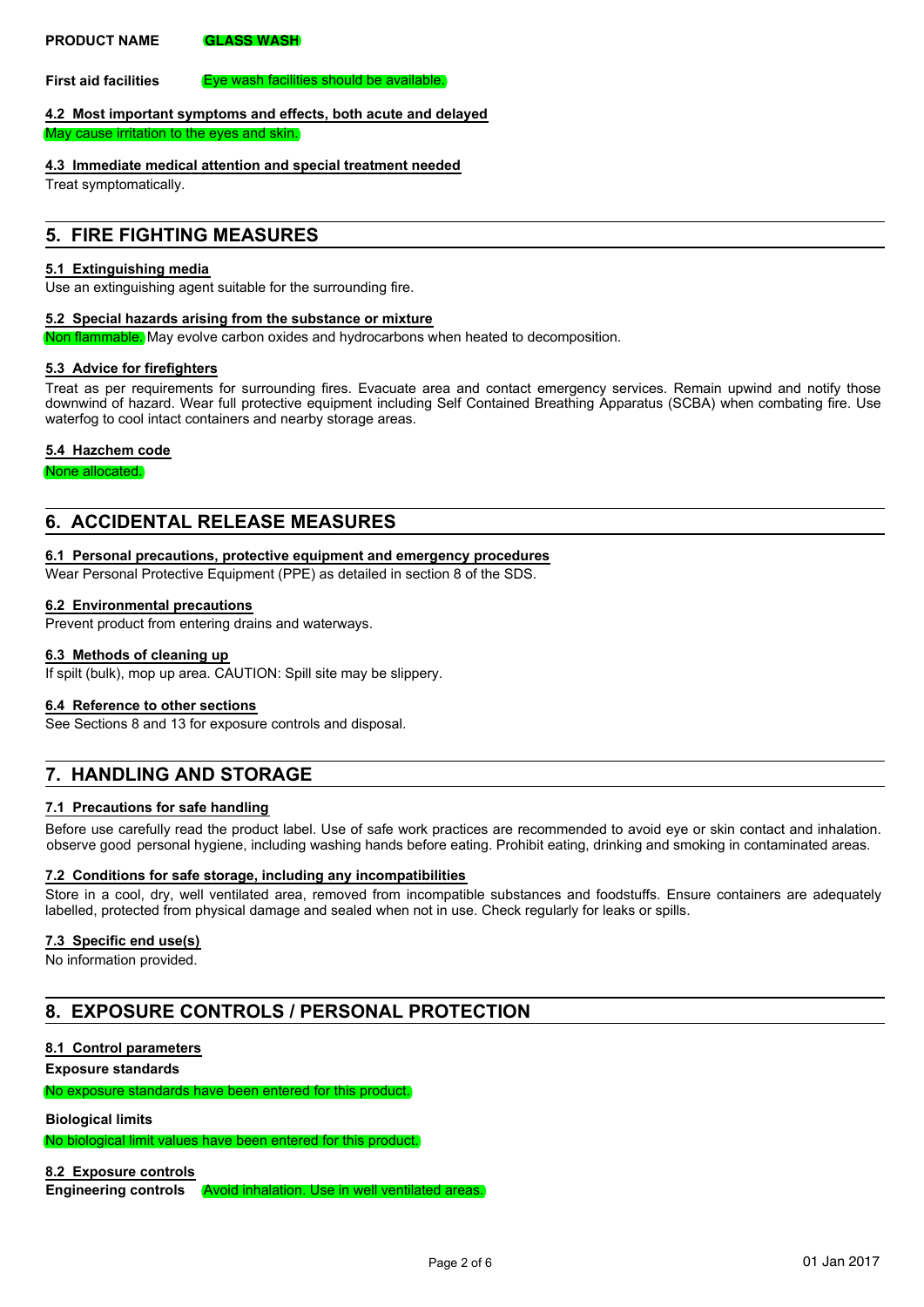### **PRODUCT NAME GLASS WASH**

**First aid facilities** Eye wash facilities should be available.

### **4.2 Most important symptoms and effects, both acute and delayed**

May cause irritation to the eyes and skin.

### **4.3 Immediate medical attention and special treatment needed**

Treat symptomatically.

## **5. FIRE FIGHTING MEASURES**

### **5.1 Extinguishing media**

Use an extinguishing agent suitable for the surrounding fire.

### **5.2 Special hazards arising from the substance or mixture**

Non flammable. May evolve carbon oxides and hydrocarbons when heated to decomposition.

### **5.3 Advice for firefighters**

Treat as per requirements for surrounding fires. Evacuate area and contact emergency services. Remain upwind and notify those downwind of hazard. Wear full protective equipment including Self Contained Breathing Apparatus (SCBA) when combating fire. Use waterfog to cool intact containers and nearby storage areas.

### **5.4 Hazchem code**

None allocated.

## **6. ACCIDENTAL RELEASE MEASURES**

### **6.1 Personal precautions, protective equipment and emergency procedures**

Wear Personal Protective Equipment (PPE) as detailed in section 8 of the SDS.

### **6.2 Environmental precautions**

Prevent product from entering drains and waterways.

### **6.3 Methods of cleaning up**

If spilt (bulk), mop up area. CAUTION: Spill site may be slippery.

### **6.4 Reference to other sections**

See Sections 8 and 13 for exposure controls and disposal.

## **7. HANDLING AND STORAGE**

### **7.1 Precautions for safe handling**

Before use carefully read the product label. Use of safe work practices are recommended to avoid eye or skin contact and inhalation. observe good personal hygiene, including washing hands before eating. Prohibit eating, drinking and smoking in contaminated areas.

### **7.2 Conditions for safe storage, including any incompatibilities**

Store in a cool, dry, well ventilated area, removed from incompatible substances and foodstuffs. Ensure containers are adequately labelled, protected from physical damage and sealed when not in use. Check regularly for leaks or spills.

### **7.3 Specific end use(s)**

No information provided.

## **8. EXPOSURE CONTROLS / PERSONAL PROTECTION**

### **8.1 Control parameters**

**Exposure standards**

No exposure standards have been entered for this product.

### **Biological limits**

No biological limit values have been entered for this product.

### **8.2 Exposure controls**

**Engineering controls** Avoid inhalation. Use in well ventilated areas.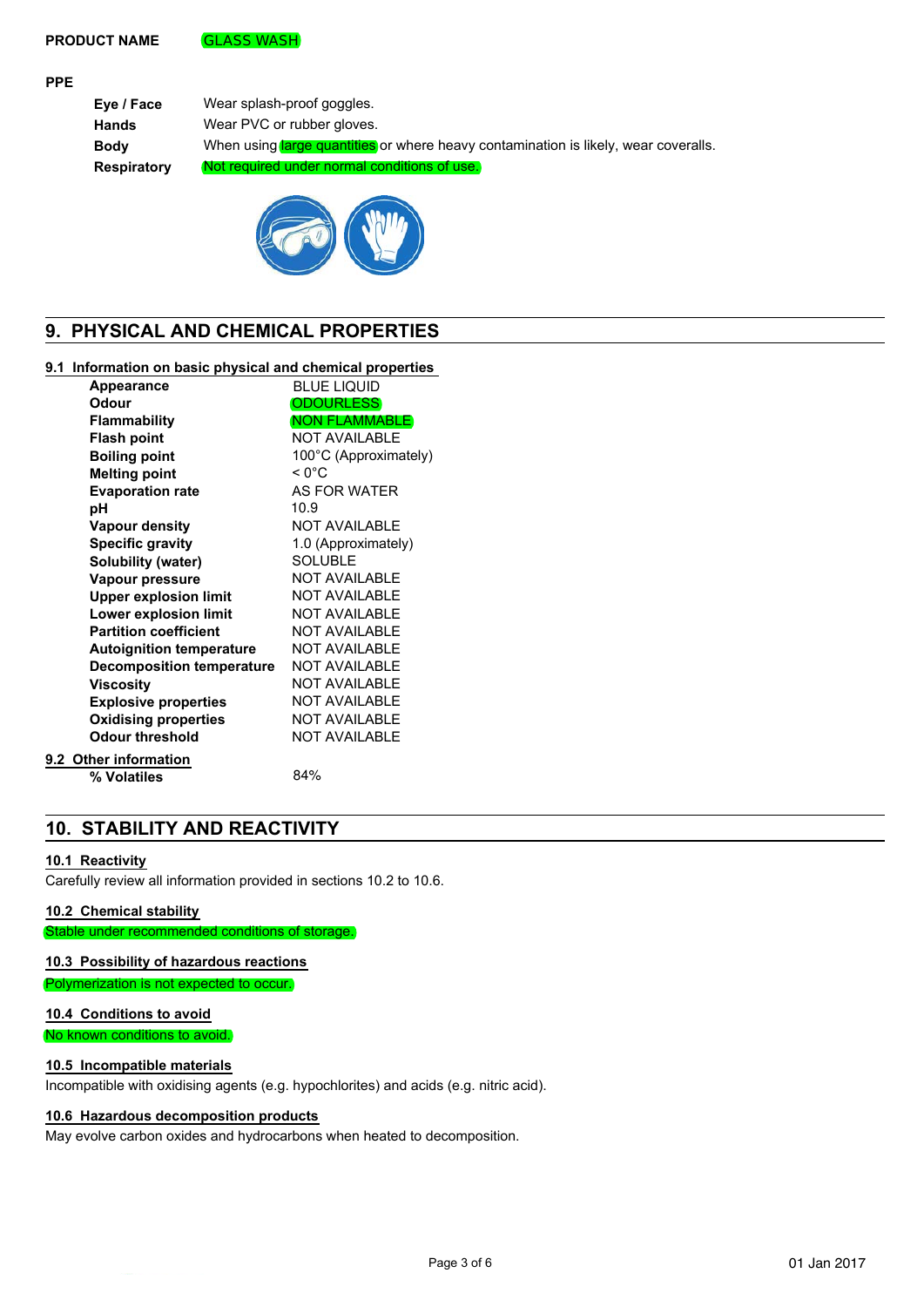### **PRODUCT NAME GLASS WASH**

### **PPE**

**Eye / Face** Wear splash-proof goggles. **Hands** Wear PVC or rubber gloves. **Body** When using large quantities or where heavy contamination is likely, wear coveralls. **Respiratory** Not required under normal conditions of use.



## **9. PHYSICAL AND CHEMICAL PROPERTIES**

### **9.1 Information on basic physical and chemical properties**

| <b>Appearance</b>                | <b>BLUE LIQUID</b>    |
|----------------------------------|-----------------------|
| Odour                            | <b>ODOURLESS</b>      |
| Flammability                     | <b>NON FLAMMABLE</b>  |
| <b>Flash point</b>               | <b>NOT AVAILABLE</b>  |
| <b>Boiling point</b>             | 100°C (Approximately) |
| <b>Melting point</b>             | $< 0^{\circ}$ C       |
| <b>Evaporation rate</b>          | AS FOR WATER          |
| рH                               | 10.9                  |
| <b>Vapour density</b>            | <b>NOT AVAILABLE</b>  |
| <b>Specific gravity</b>          | 1.0 (Approximately)   |
| Solubility (water)               | <b>SOLUBLE</b>        |
| Vapour pressure                  | <b>NOT AVAILABLE</b>  |
| <b>Upper explosion limit</b>     | <b>NOT AVAILABLE</b>  |
| Lower explosion limit            | <b>NOT AVAILABLE</b>  |
| <b>Partition coefficient</b>     | <b>NOT AVAILABLE</b>  |
| <b>Autoignition temperature</b>  | <b>NOT AVAILABLE</b>  |
| <b>Decomposition temperature</b> | <b>NOT AVAILABLE</b>  |
| <b>Viscosity</b>                 | <b>NOT AVAILABLE</b>  |
| <b>Explosive properties</b>      | <b>NOT AVAILABLE</b>  |
| <b>Oxidising properties</b>      | <b>NOT AVAILABLE</b>  |
| <b>Odour threshold</b>           | <b>NOT AVAILABLE</b>  |
| 9.2 Other information            |                       |
| % Volatiles                      | 84%                   |
|                                  |                       |

## **10. STABILITY AND REACTIVITY**

### **10.1 Reactivity**

Carefully review all information provided in sections 10.2 to 10.6.

### **10.2 Chemical stability**

Stable under recommended conditions of storage.

### **10.3 Possibility of hazardous reactions**

Polymerization is not expected to occur.

### **10.4 Conditions to avoid**

No known conditions to avoid.

### **10.5 Incompatible materials**

Incompatible with oxidising agents (e.g. hypochlorites) and acids (e.g. nitric acid).

### **10.6 Hazardous decomposition products**

May evolve carbon oxides and hydrocarbons when heated to decomposition.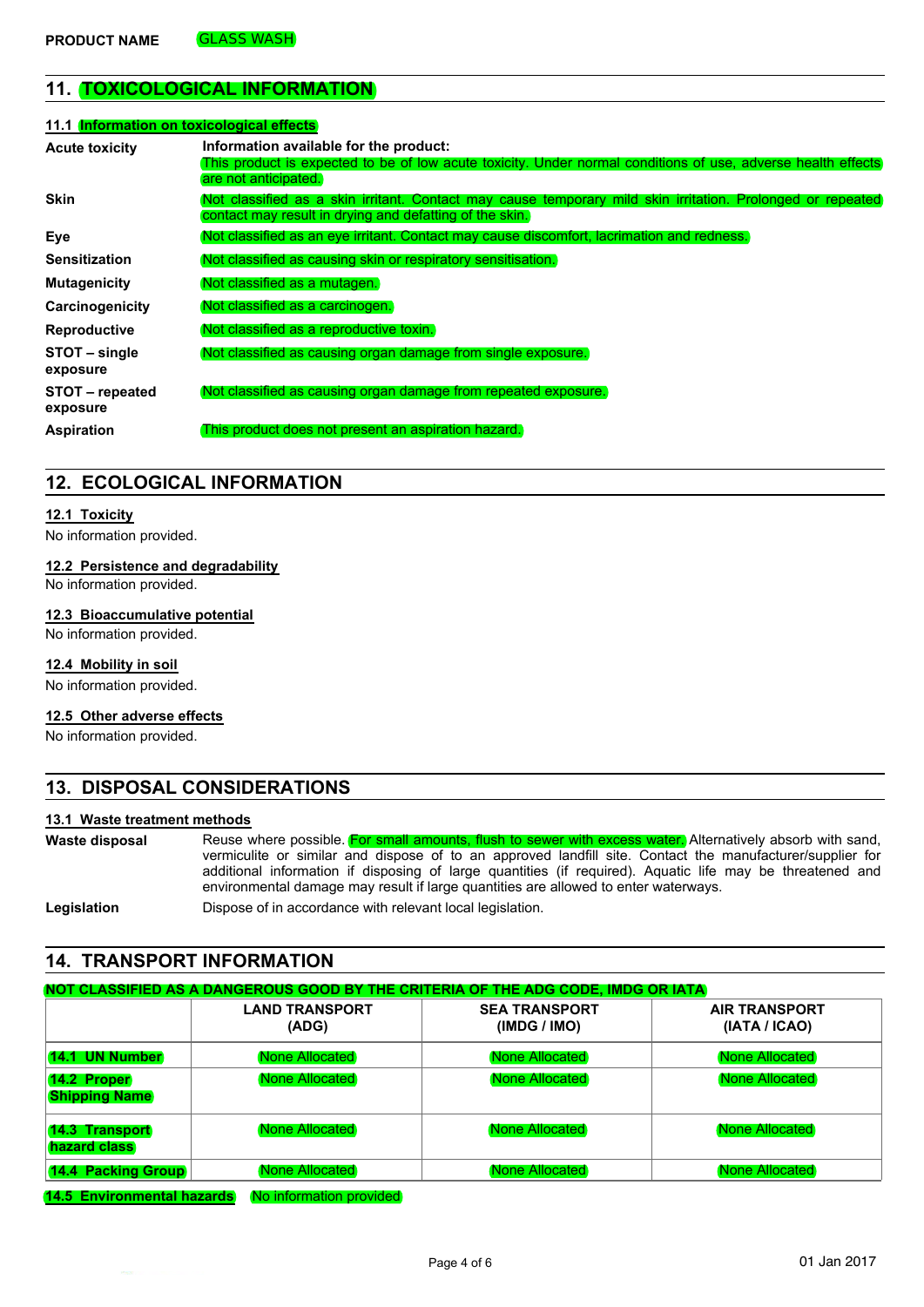## **11. TOXICOLOGICAL INFORMATION**

| 11.1 Information on toxicological effects |                                                                                                                                                                                |
|-------------------------------------------|--------------------------------------------------------------------------------------------------------------------------------------------------------------------------------|
| <b>Acute toxicity</b>                     | Information available for the product:<br>This product is expected to be of low acute toxicity. Under normal conditions of use, adverse health effects<br>are not anticipated. |
| <b>Skin</b>                               | Not classified as a skin irritant. Contact may cause temporary mild skin irritation. Prolonged or repeated<br>contact may result in drying and defatting of the skin.          |
| Eye                                       | Not classified as an eye irritant. Contact may cause discomfort, lacrimation and redness.                                                                                      |
| <b>Sensitization</b>                      | Not classified as causing skin or respiratory sensitisation.                                                                                                                   |
| <b>Mutagenicity</b>                       | (Not classified as a mutagen.)                                                                                                                                                 |
| Carcinogenicity                           | Not classified as a carcinogen.                                                                                                                                                |
| <b>Reproductive</b>                       | (Not classified as a reproductive toxin.)                                                                                                                                      |
| STOT – single<br>exposure                 | Not classified as causing organ damage from single exposure.                                                                                                                   |
| STOT – repeated<br>exposure               | Not classified as causing organ damage from repeated exposure.                                                                                                                 |
| <b>Aspiration</b>                         | This product does not present an aspiration hazard.                                                                                                                            |

### **12. ECOLOGICAL INFORMATION**

### **12.1 Toxicity**

No information provided.

### **12.2 Persistence and degradability**

No information provided.

### **12.3 Bioaccumulative potential**

No information provided.

### **12.4 Mobility in soil**

No information provided.

### **12.5 Other adverse effects**

No information provided.

## **13. DISPOSAL CONSIDERATIONS**

### **13.1 Waste treatment methods**

| Waste disposal      | Reuse where possible. For small amounts, flush to sewer with excess water. Alternatively absorb with sand, |  |
|---------------------|------------------------------------------------------------------------------------------------------------|--|
|                     | vermiculite or similar and dispose of to an approved landfill site. Contact the manufacturer/supplier for  |  |
|                     | additional information if disposing of large quantities (if required). Aquatic life may be threatened and  |  |
|                     | environmental damage may result if large quantities are allowed to enter waterways.                        |  |
| المتملك والملموم ال | Dispose of in essentance with relationt lead legislation.                                                  |  |

**Legislation Dispose of in accordance with relevant local legislation.** 

## **14. TRANSPORT INFORMATION**

|                                            | <b>LAND TRANSPORT</b><br>(ADG) | <b>SEA TRANSPORT</b><br>(IMDG / IMO) | <b>AIR TRANSPORT</b><br>(IATA / ICAO) |
|--------------------------------------------|--------------------------------|--------------------------------------|---------------------------------------|
| 14.1 UN Number                             | (None Allocated)               | <b>None Allocated</b>                | (None Allocated)                      |
| <b>14.2 Proper</b><br><b>Shipping Name</b> | None Allocated                 | None Allocated                       | None Allocated                        |
| <b>14.3 Transport</b><br>hazard class      | <b>None Allocated</b>          | None Allocated                       | None Allocated                        |
| <b>14.4 Packing Group</b>                  | None Allocated                 | None Allocated                       | None Allocated                        |

**14.5 Environmental hazards** No information provided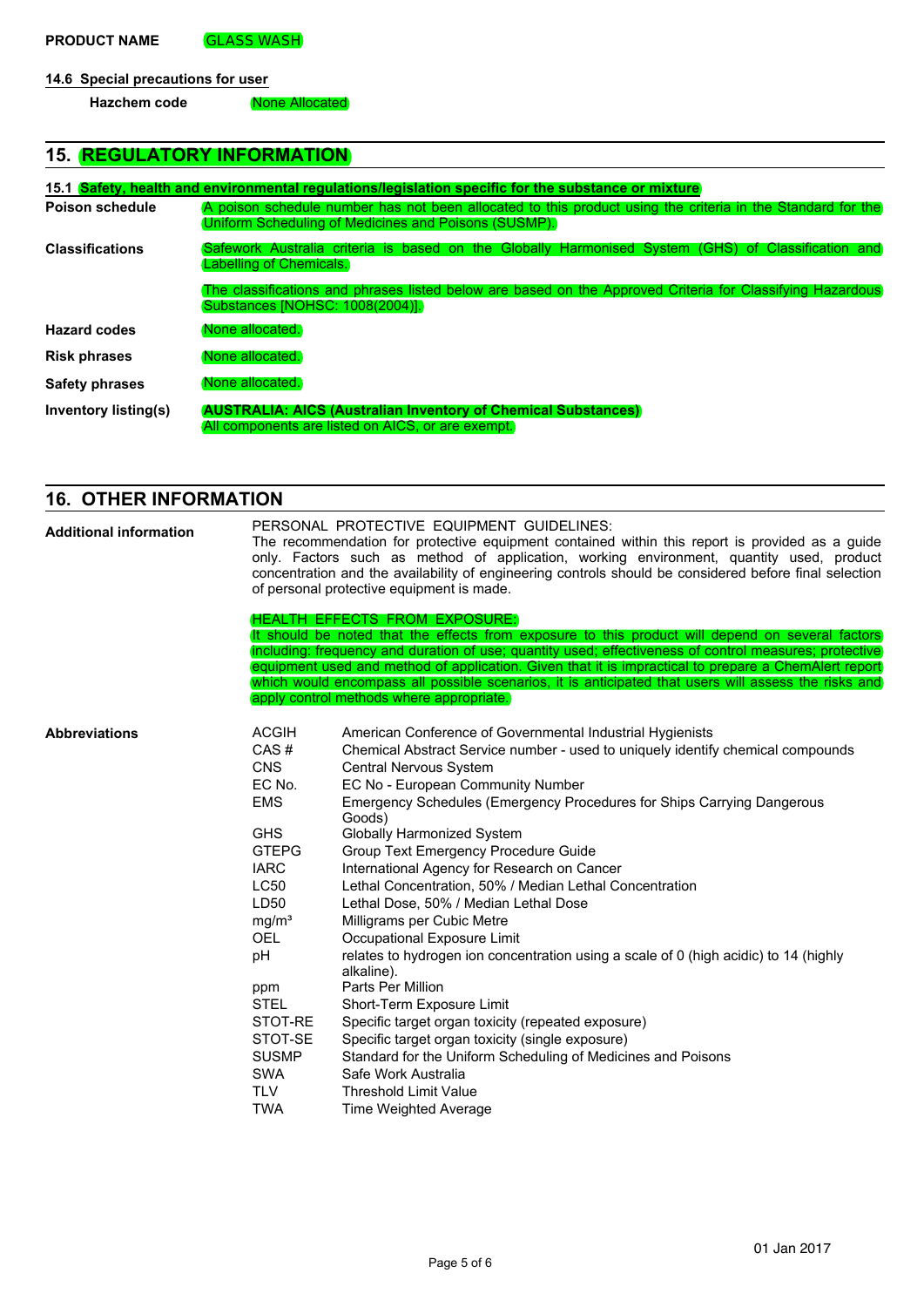## **14.6 Special precautions for user**

| Hazchem code | None Allocated |
|--------------|----------------|
|--------------|----------------|

## **15. REGULATORY INFORMATION**

|                        | 15.1 Safety, health and environmental requiations/legislation specific for the substance or mixture                                                                |
|------------------------|--------------------------------------------------------------------------------------------------------------------------------------------------------------------|
| Poison schedule        | A poison schedule number has not been allocated to this product using the criteria in the Standard for the<br>Uniform Scheduling of Medicines and Poisons (SUSMP). |
| <b>Classifications</b> | Safework Australia criteria is based on the Globally Harmonised System (GHS) of Classification and<br>Labelling of Chemicals.                                      |
|                        | The classifications and phrases listed below are based on the Approved Criteria for Classifying Hazardous<br>Substances INOHSC: 1008(2004)].                       |
| <b>Hazard codes</b>    | None allocated.                                                                                                                                                    |
| <b>Risk phrases</b>    | None allocated.                                                                                                                                                    |
| <b>Safety phrases</b>  | None allocated.                                                                                                                                                    |
| Inventory listing(s)   | <b>AUSTRALIA: AICS (Australian Inventory of Chemical Substances)</b><br>All components are listed on AICS, or are exempt.                                          |

## **16. OTHER INFORMATION**

| <b>Additional information</b> | PERSONAL PROTECTIVE EQUIPMENT GUIDELINES:<br>The recommendation for protective equipment contained within this report is provided as a guide<br>only. Factors such as method of application, working environment, quantity used, product<br>concentration and the availability of engineering controls should be considered before final selection<br>of personal protective equipment is made.<br>HEALTH EFFECTS FROM EXPOSURE:                                       |                                                                                                                                                                                                                                                                                                                                                                                                                                                                                                                                                                                                                                                                                                                                                                                                                                                                                                                                                                                                         |  |  |
|-------------------------------|------------------------------------------------------------------------------------------------------------------------------------------------------------------------------------------------------------------------------------------------------------------------------------------------------------------------------------------------------------------------------------------------------------------------------------------------------------------------|---------------------------------------------------------------------------------------------------------------------------------------------------------------------------------------------------------------------------------------------------------------------------------------------------------------------------------------------------------------------------------------------------------------------------------------------------------------------------------------------------------------------------------------------------------------------------------------------------------------------------------------------------------------------------------------------------------------------------------------------------------------------------------------------------------------------------------------------------------------------------------------------------------------------------------------------------------------------------------------------------------|--|--|
|                               | It should be noted that the effects from exposure to this product will depend on several factors<br>including: frequency and duration of use; quantity used; effectiveness of control measures; protective<br>equipment used and method of application. Given that it is impractical to prepare a ChemAlert report<br>which would encompass all possible scenarios, it is anticipated that users will assess the risks and<br>apply control methods where appropriate. |                                                                                                                                                                                                                                                                                                                                                                                                                                                                                                                                                                                                                                                                                                                                                                                                                                                                                                                                                                                                         |  |  |
| <b>Abbreviations</b>          | <b>ACGIH</b><br>CAS#<br><b>CNS</b><br>EC No.<br><b>EMS</b><br><b>GHS</b><br><b>GTEPG</b><br><b>IARC</b><br><b>LC50</b><br>LD50<br>mg/m <sup>3</sup><br><b>OEL</b><br>pH<br>ppm<br><b>STEL</b><br>STOT-RE<br>STOT-SE<br><b>SUSMP</b><br><b>SWA</b><br><b>TLV</b><br><b>TWA</b>                                                                                                                                                                                          | American Conference of Governmental Industrial Hygienists<br>Chemical Abstract Service number - used to uniquely identify chemical compounds<br>Central Nervous System<br>EC No - European Community Number<br>Emergency Schedules (Emergency Procedures for Ships Carrying Dangerous<br>Goods)<br>Globally Harmonized System<br>Group Text Emergency Procedure Guide<br>International Agency for Research on Cancer<br>Lethal Concentration, 50% / Median Lethal Concentration<br>Lethal Dose, 50% / Median Lethal Dose<br>Milligrams per Cubic Metre<br>Occupational Exposure Limit<br>relates to hydrogen ion concentration using a scale of 0 (high acidic) to 14 (highly<br>alkaline).<br>Parts Per Million<br>Short-Term Exposure Limit<br>Specific target organ toxicity (repeated exposure)<br>Specific target organ toxicity (single exposure)<br>Standard for the Uniform Scheduling of Medicines and Poisons<br>Safe Work Australia<br><b>Threshold Limit Value</b><br>Time Weighted Average |  |  |